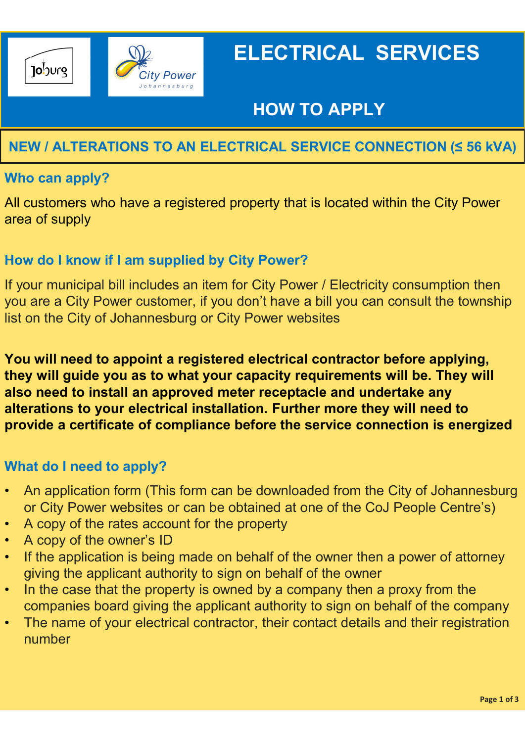

# ELECTRICAL SERVICES

### HOW TO APPLY

### NEW / ALTERATIONS TO AN ELECTRICAL SERVICE CONNECTION (≤ 56 kVA)

#### Who can apply?

All customers who have a registered property that is located within the City Power area of supply

#### How do I know if I am supplied by City Power?

If your municipal bill includes an item for City Power / Electricity consumption then you are a City Power customer, if you don't have a bill you can consult the township list on the City of Johannesburg or City Power websites

You will need to appoint a registered electrical contractor before applying, they will guide you as to what your capacity requirements will be. They will also need to install an approved meter receptacle and undertake any alterations to your electrical installation. Further more they will need to provide a certificate of compliance before the service connection is energized If your municipal bill includes an item for City Power / Electricity consumption then<br>you are a City Power customer, if you don't have a bill you can consult the township<br>list on the City of Johannesburg or City Power web

#### What do I need to apply?

- An application form (This form can be downloaded from the City of Johannesburg
- 
- A copy of the owner's ID
- If the application is being made on behalf of the owner then a power of attorney giving the applicant authority to sign on behalf of the owner
- In the case that the property is owned by a company then a proxy from the companies board giving the applicant authority to sign on behalf of the company
- The name of your electrical contractor, their contact details and their registration number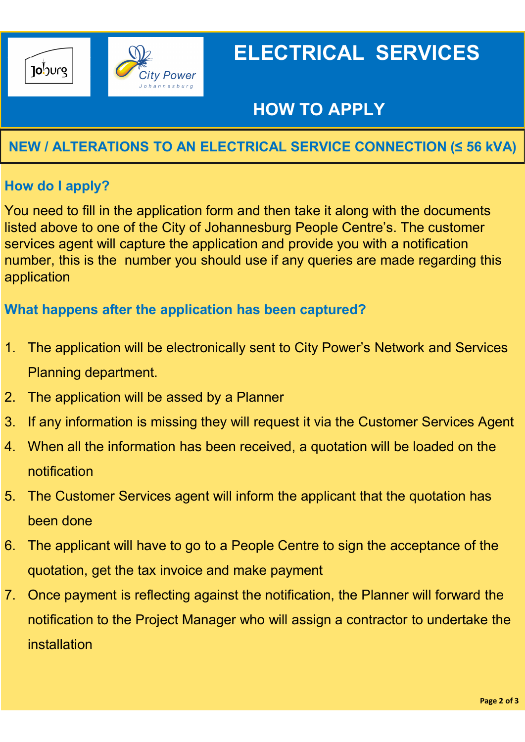

# ELECTRICAL SERVICES

## HOW TO APPLY

### NEW / ALTERATIONS TO AN ELECTRICAL SERVICE CONNECTION (≤ 56 kVA)

#### How do I apply?

You need to fill in the application form and then take it along with the documents listed above to one of the City of Johannesburg People Centre's. The customer services agent will capture the application and provide you with a notification number, this is the number you should use if any queries are made regarding this application 1. The application form and then take it along<br>
2. You need to fill in the application form and then take it along<br>
2. Initial dabove to one of the City of Johannesburg People Centr<br>
2. The application<br>
2. The application 1. If any information is missing they will request it via the Customer is missing above to one of the City of Johannesburg People Centre's. The customer services agent will capture the application and provide you with a no Musted above to one of the City of Johannesburg People Centre's. The customer<br>services agent will capture the application and provide you with a notification<br>number, this is the number you should use if any queries are mad

#### What happens after the application has been captured?

- 1. The application will be electronically sent to City Power's Network and Services Planning department.
- 
- 
- notification implication<br>1. The application will be electronically sent to City Power's Network and Services<br>1. The application will be electronically sent to City Power's Network and Services<br>1. The application will be assed by a Plan
- been done
- 1. The application will be electronically sent to City Power's Network and Services<br>
Planning department.<br>
2. The application will be assed by a Planner<br>
3. If any information is missing they will request it via the Custom quotation, get the tax invoice and make payment
- 1. The application will be assed by a Planner<br>
2. The application will be assed by a Planner<br>
3. If any information is missing they will request it via the Customer Services Agent<br>
4. When all the information has been rece notification to the Project Manager who will assign a contractor to undertake the installation